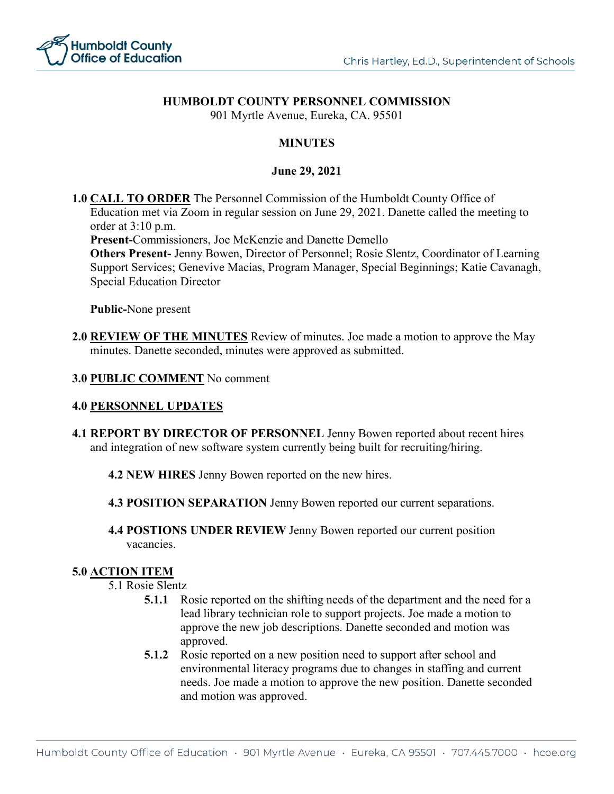

## **HUMBOLDT COUNTY PERSONNEL COMMISSION**

901 Myrtle Avenue, Eureka, CA. 95501

### **MINUTES**

#### **June 29, 2021**

**1.0 CALL TO ORDER** The Personnel Commission of the Humboldt County Office of Education met via Zoom in regular session on June 29, 2021. Danette called the meeting to order at 3:10 p.m.

**Present-**Commissioners, Joe McKenzie and Danette Demello

**Others Present-** Jenny Bowen, Director of Personnel; Rosie Slentz, Coordinator of Learning Support Services; Genevive Macias, Program Manager, Special Beginnings; Katie Cavanagh, Special Education Director

**Public-**None present

**2.0 REVIEW OF THE MINUTES** Review of minutes. Joe made a motion to approve the May minutes. Danette seconded, minutes were approved as submitted.

#### **3.0 PUBLIC COMMENT** No comment

#### **4.0 PERSONNEL UPDATES**

**4.1 REPORT BY DIRECTOR OF PERSONNEL** Jenny Bowen reported about recent hires and integration of new software system currently being built for recruiting/hiring.

**4.2 NEW HIRES** Jenny Bowen reported on the new hires.

- **4.3 POSITION SEPARATION** Jenny Bowen reported our current separations.
- **4.4 POSTIONS UNDER REVIEW** Jenny Bowen reported our current position vacancies.

#### **5.0 ACTION ITEM**

5.1 Rosie Slentz

- **5.1.1** Rosie reported on the shifting needs of the department and the need for a lead library technician role to support projects. Joe made a motion to approve the new job descriptions. Danette seconded and motion was approved.
- **5.1.2** Rosie reported on a new position need to support after school and environmental literacy programs due to changes in staffing and current needs. Joe made a motion to approve the new position. Danette seconded and motion was approved.